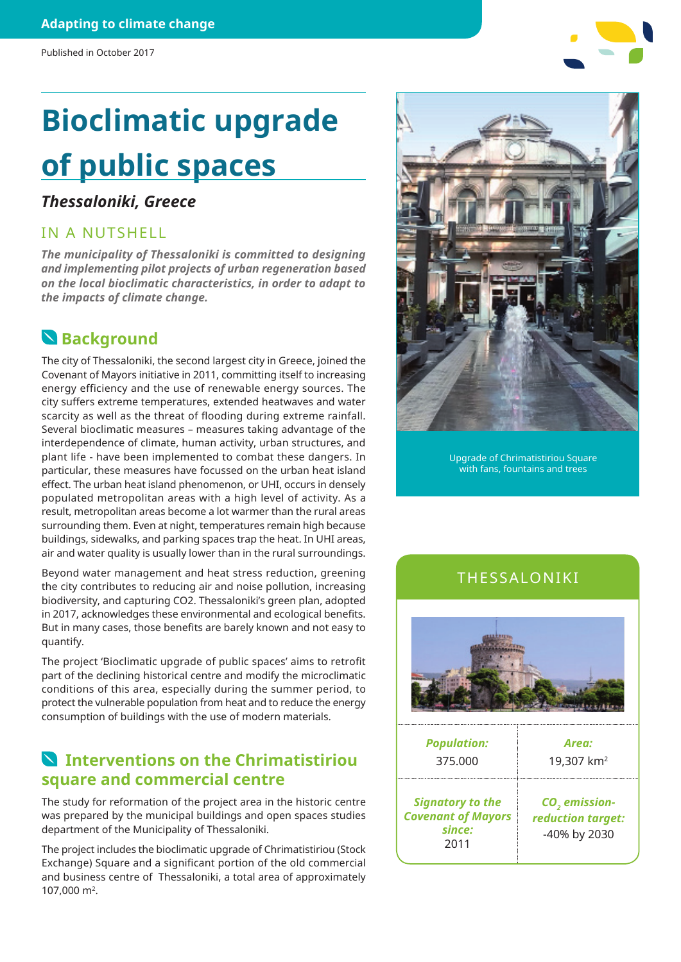# **Bioclimatic upgrade of public spaces**

### *Thessaloniki, Greece*

#### IN A NUTSHELL

*The municipality of Thessaloniki is committed to designing and implementing pilot projects of urban regeneration based on the local bioclimatic characteristics, in order to adapt to the impacts of climate change.*

## **Background**

The city of Thessaloniki, the second largest city in Greece, joined the Covenant of Mayors initiative in 2011, committing itself to increasing energy efficiency and the use of renewable energy sources. The city suffers extreme temperatures, extended heatwaves and water scarcity as well as the threat of flooding during extreme rainfall. Several bioclimatic measures – measures taking advantage of the interdependence of climate, human activity, urban structures, and plant life - have been implemented to combat these dangers. In particular, these measures have focussed on the urban heat island effect. The urban heat island phenomenon, or UHI, occurs in densely populated metropolitan areas with a high level of activity. As a result, metropolitan areas become a lot warmer than the rural areas surrounding them. Even at night, temperatures remain high because buildings, sidewalks, and parking spaces trap the heat. In UHI areas, air and water quality is usually lower than in the rural surroundings.

Beyond water management and heat stress reduction, greening the city contributes to reducing air and noise pollution, increasing biodiversity, and capturing CO2. Thessaloniki's green plan, adopted in 2017, acknowledges these environmental and ecological benefits. But in many cases, those benefits are barely known and not easy to quantify.

The project 'Bioclimatic upgrade of public spaces' aims to retrofit part of the declining historical centre and modify the microclimatic conditions of this area, especially during the summer period, to protect the vulnerable population from heat and to reduce the energy consumption of buildings with the use of modern materials.

## **Interventions on the Chrimatistiriou square and commercial centre**

The study for reformation of the project area in the historic centre was prepared by the municipal buildings and open spaces studies department of the Municipality of Thessaloniki.

The project includes the bioclimatic upgrade of Chrimatistiriou (Stock Exchange) Square and a significant portion of the old commercial and business centre of Thessaloniki, a total area of approximately 107,000 m2.



Upgrade of Chrimatistiriou Square with fans, fountains and trees

## THESSALONIKI



2011

-40% by 2030